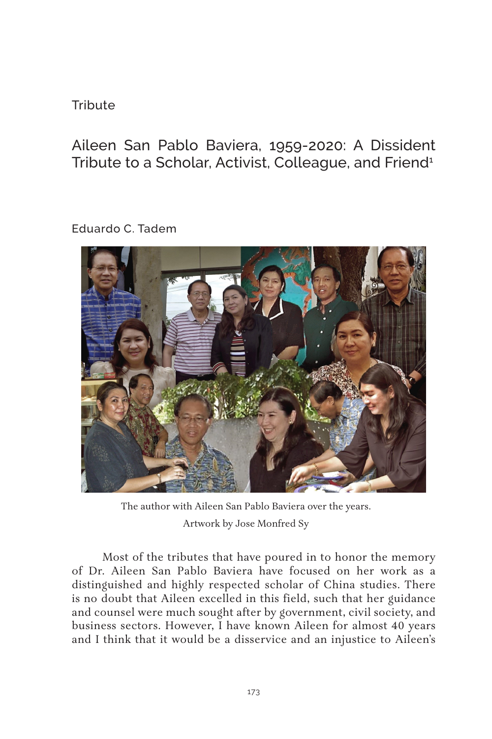### **Tribute**

Aileen San Pablo Baviera, 1959-2020: A Dissident Tribute to a Scholar, Activist, Colleague, and Friend<sup>1</sup>

Eduardo C. Tadem



The author with Aileen San Pablo Baviera over the years. Artwork by Jose Monfred Sy

Most of the tributes that have poured in to honor the memory of Dr. Aileen San Pablo Baviera have focused on her work as a distinguished and highly respected scholar of China studies. There is no doubt that Aileen excelled in this field, such that her guidance and counsel were much sought after by government, civil society, and business sectors. However, I have known Aileen for almost 40 years and I think that it would be a disservice and an injustice to Aileen's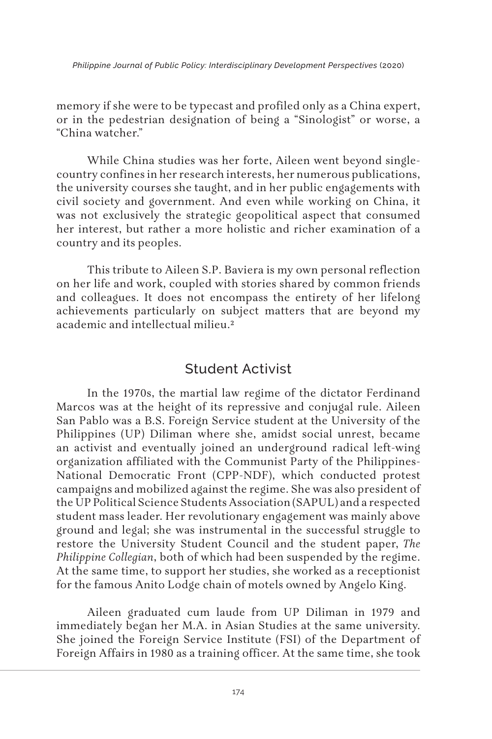memory if she were to be typecast and profiled only as a China expert, or in the pedestrian designation of being a "Sinologist" or worse, a "China watcher."

While China studies was her forte, Aileen went beyond singlecountry confines in her research interests, her numerous publications, the university courses she taught, and in her public engagements with civil society and government. And even while working on China, it was not exclusively the strategic geopolitical aspect that consumed her interest, but rather a more holistic and richer examination of a country and its peoples.

This tribute to Aileen S.P. Baviera is my own personal reflection on her life and work, coupled with stories shared by common friends and colleagues. It does not encompass the entirety of her lifelong achievements particularly on subject matters that are beyond my academic and intellectual milieu.2

## Student Activist

In the 1970s, the martial law regime of the dictator Ferdinand Marcos was at the height of its repressive and conjugal rule. Aileen San Pablo was a B.S. Foreign Service student at the University of the Philippines (UP) Diliman where she, amidst social unrest, became an activist and eventually joined an underground radical left-wing organization affiliated with the Communist Party of the Philippines-National Democratic Front (CPP-NDF), which conducted protest campaigns and mobilized against the regime. She was also president of the UP Political Science Students Association (SAPUL) and a respected student mass leader. Her revolutionary engagement was mainly above ground and legal; she was instrumental in the successful struggle to restore the University Student Council and the student paper, *The Philippine Collegian*, both of which had been suspended by the regime. At the same time, to support her studies, she worked as a receptionist for the famous Anito Lodge chain of motels owned by Angelo King.

Aileen graduated cum laude from UP Diliman in 1979 and immediately began her M.A. in Asian Studies at the same university. She joined the Foreign Service Institute (FSI) of the Department of Foreign Affairs in 1980 as a training officer. At the same time, she took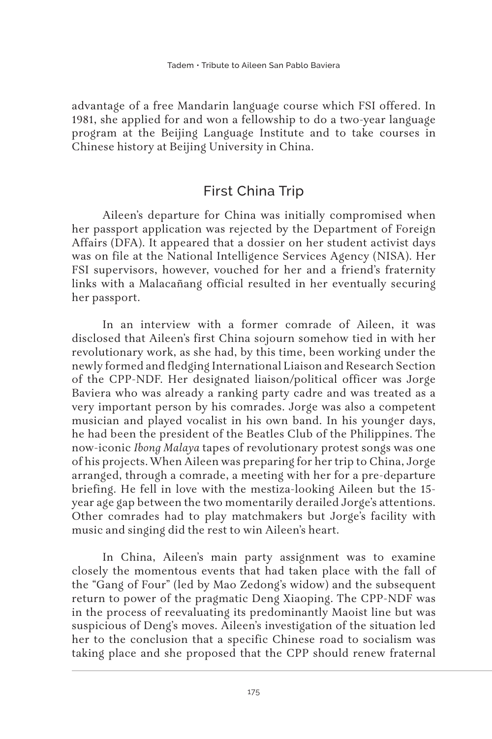advantage of a free Mandarin language course which FSI offered. In 1981, she applied for and won a fellowship to do a two-year language program at the Beijing Language Institute and to take courses in Chinese history at Beijing University in China.

# First China Trip

Aileen's departure for China was initially compromised when her passport application was rejected by the Department of Foreign Affairs (DFA). It appeared that a dossier on her student activist days was on file at the National Intelligence Services Agency (NISA). Her FSI supervisors, however, vouched for her and a friend's fraternity links with a Malacañang official resulted in her eventually securing her passport.

In an interview with a former comrade of Aileen, it was disclosed that Aileen's first China sojourn somehow tied in with her revolutionary work, as she had, by this time, been working under the newly formed and fledging International Liaison and Research Section of the CPP-NDF. Her designated liaison/political officer was Jorge Baviera who was already a ranking party cadre and was treated as a very important person by his comrades. Jorge was also a competent musician and played vocalist in his own band. In his younger days, he had been the president of the Beatles Club of the Philippines. The now-iconic *Ibong Malaya* tapes of revolutionary protest songs was one of his projects. When Aileen was preparing for her trip to China, Jorge arranged, through a comrade, a meeting with her for a pre-departure briefing. He fell in love with the mestiza-looking Aileen but the 15 year age gap between the two momentarily derailed Jorge's attentions. Other comrades had to play matchmakers but Jorge's facility with music and singing did the rest to win Aileen's heart.

In China, Aileen's main party assignment was to examine closely the momentous events that had taken place with the fall of the "Gang of Four" (led by Mao Zedong's widow) and the subsequent return to power of the pragmatic Deng Xiaoping. The CPP-NDF was in the process of reevaluating its predominantly Maoist line but was suspicious of Deng's moves. Aileen's investigation of the situation led her to the conclusion that a specific Chinese road to socialism was taking place and she proposed that the CPP should renew fraternal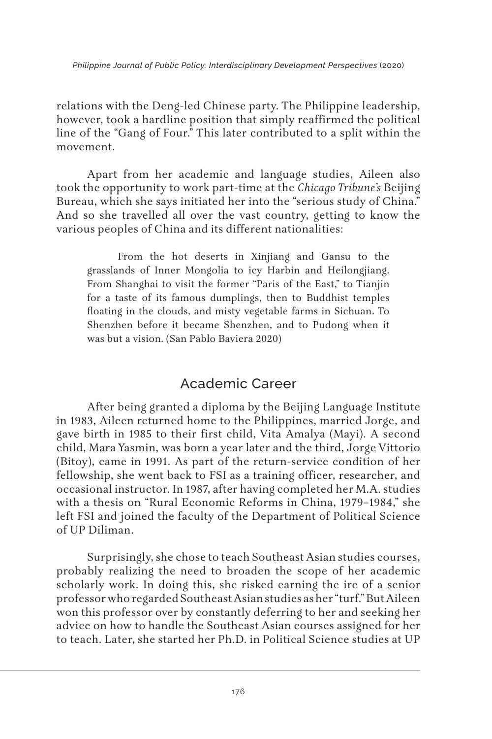relations with the Deng-led Chinese party. The Philippine leadership, however, took a hardline position that simply reaffirmed the political line of the "Gang of Four." This later contributed to a split within the movement.

Apart from her academic and language studies, Aileen also took the opportunity to work part-time at the *Chicago Tribune's* Beijing Bureau, which she says initiated her into the "serious study of China." And so she travelled all over the vast country, getting to know the various peoples of China and its different nationalities:

From the hot deserts in Xinjiang and Gansu to the grasslands of Inner Mongolia to icy Harbin and Heilongjiang. From Shanghai to visit the former "Paris of the East," to Tianjin for a taste of its famous dumplings, then to Buddhist temples floating in the clouds, and misty vegetable farms in Sichuan. To Shenzhen before it became Shenzhen, and to Pudong when it was but a vision. (San Pablo Baviera 2020)

# Academic Career

After being granted a diploma by the Beijing Language Institute in 1983, Aileen returned home to the Philippines, married Jorge, and gave birth in 1985 to their first child, Vita Amalya (Mayi). A second child, Mara Yasmin, was born a year later and the third, Jorge Vittorio (Bitoy), came in 1991. As part of the return-service condition of her fellowship, she went back to FSI as a training officer, researcher, and occasional instructor. In 1987, after having completed her M.A. studies with a thesis on "Rural Economic Reforms in China, 1979–1984," she left FSI and joined the faculty of the Department of Political Science of UP Diliman.

Surprisingly, she chose to teach Southeast Asian studies courses, probably realizing the need to broaden the scope of her academic scholarly work. In doing this, she risked earning the ire of a senior professor who regarded Southeast Asian studies as her "turf." But Aileen won this professor over by constantly deferring to her and seeking her advice on how to handle the Southeast Asian courses assigned for her to teach. Later, she started her Ph.D. in Political Science studies at UP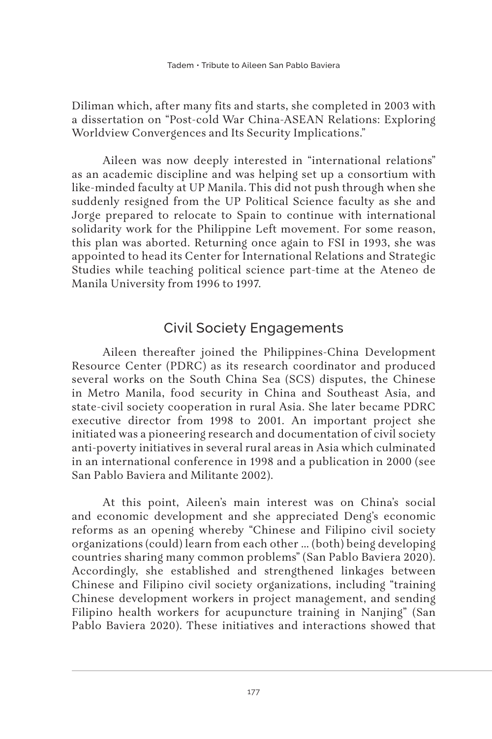Diliman which, after many fits and starts, she completed in 2003 with a dissertation on "Post-cold War China-ASEAN Relations: Exploring Worldview Convergences and Its Security Implications."

Aileen was now deeply interested in "international relations" as an academic discipline and was helping set up a consortium with like-minded faculty at UP Manila. This did not push through when she suddenly resigned from the UP Political Science faculty as she and Jorge prepared to relocate to Spain to continue with international solidarity work for the Philippine Left movement. For some reason, this plan was aborted. Returning once again to FSI in 1993, she was appointed to head its Center for International Relations and Strategic Studies while teaching political science part-time at the Ateneo de Manila University from 1996 to 1997.

# Civil Society Engagements

Aileen thereafter joined the Philippines-China Development Resource Center (PDRC) as its research coordinator and produced several works on the South China Sea (SCS) disputes, the Chinese in Metro Manila, food security in China and Southeast Asia, and state-civil society cooperation in rural Asia. She later became PDRC executive director from 1998 to 2001. An important project she initiated was a pioneering research and documentation of civil society anti-poverty initiatives in several rural areas in Asia which culminated in an international conference in 1998 and a publication in 2000 (see San Pablo Baviera and Militante 2002).

At this point, Aileen's main interest was on China's social and economic development and she appreciated Deng's economic reforms as an opening whereby "Chinese and Filipino civil society organizations (could) learn from each other … (both) being developing countries sharing many common problems" (San Pablo Baviera 2020). Accordingly, she established and strengthened linkages between Chinese and Filipino civil society organizations, including "training Chinese development workers in project management, and sending Filipino health workers for acupuncture training in Nanjing" (San Pablo Baviera 2020). These initiatives and interactions showed that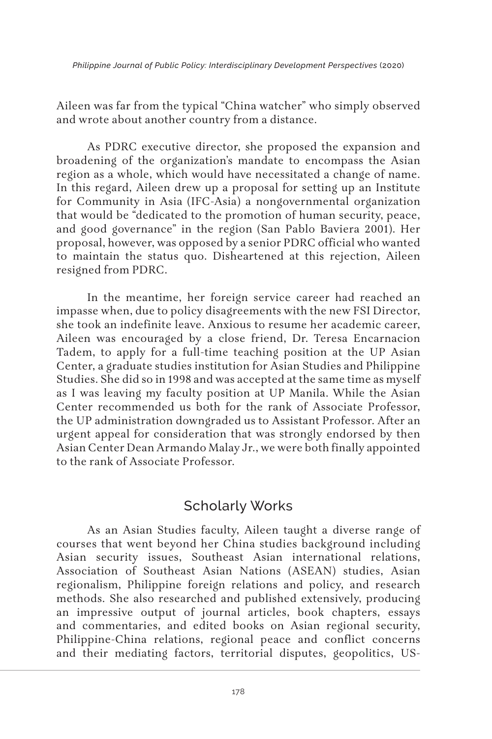Aileen was far from the typical "China watcher" who simply observed and wrote about another country from a distance.

As PDRC executive director, she proposed the expansion and broadening of the organization's mandate to encompass the Asian region as a whole, which would have necessitated a change of name. In this regard, Aileen drew up a proposal for setting up an Institute for Community in Asia (IFC-Asia) a nongovernmental organization that would be "dedicated to the promotion of human security, peace, and good governance" in the region (San Pablo Baviera 2001). Her proposal, however, was opposed by a senior PDRC official who wanted to maintain the status quo. Disheartened at this rejection, Aileen resigned from PDRC.

In the meantime, her foreign service career had reached an impasse when, due to policy disagreements with the new FSI Director, she took an indefinite leave. Anxious to resume her academic career, Aileen was encouraged by a close friend, Dr. Teresa Encarnacion Tadem, to apply for a full-time teaching position at the UP Asian Center, a graduate studies institution for Asian Studies and Philippine Studies. She did so in 1998 and was accepted at the same time as myself as I was leaving my faculty position at UP Manila. While the Asian Center recommended us both for the rank of Associate Professor, the UP administration downgraded us to Assistant Professor. After an urgent appeal for consideration that was strongly endorsed by then Asian Center Dean Armando Malay Jr., we were both finally appointed to the rank of Associate Professor.

### Scholarly Works

As an Asian Studies faculty, Aileen taught a diverse range of courses that went beyond her China studies background including Asian security issues, Southeast Asian international relations, Association of Southeast Asian Nations (ASEAN) studies, Asian regionalism, Philippine foreign relations and policy, and research methods. She also researched and published extensively, producing an impressive output of journal articles, book chapters, essays and commentaries, and edited books on Asian regional security, Philippine-China relations, regional peace and conflict concerns and their mediating factors, territorial disputes, geopolitics, US-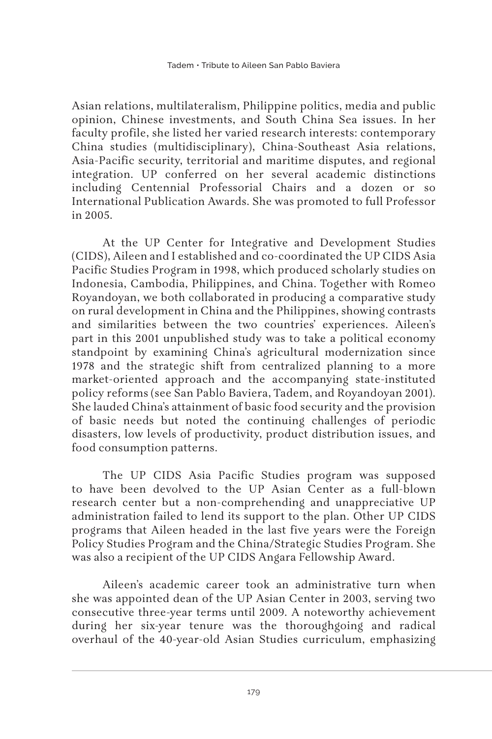Asian relations, multilateralism, Philippine politics, media and public opinion, Chinese investments, and South China Sea issues. In her faculty profile, she listed her varied research interests: contemporary China studies (multidisciplinary), China-Southeast Asia relations, Asia-Pacific security, territorial and maritime disputes, and regional integration. UP conferred on her several academic distinctions including Centennial Professorial Chairs and a dozen or so International Publication Awards. She was promoted to full Professor in 2005.

At the UP Center for Integrative and Development Studies (CIDS), Aileen and I established and co-coordinated the UP CIDS Asia Pacific Studies Program in 1998, which produced scholarly studies on Indonesia, Cambodia, Philippines, and China. Together with Romeo Royandoyan, we both collaborated in producing a comparative study on rural development in China and the Philippines, showing contrasts and similarities between the two countries' experiences. Aileen's part in this 2001 unpublished study was to take a political economy standpoint by examining China's agricultural modernization since 1978 and the strategic shift from centralized planning to a more market-oriented approach and the accompanying state-instituted policy reforms (see San Pablo Baviera, Tadem, and Royandoyan 2001). She lauded China's attainment of basic food security and the provision of basic needs but noted the continuing challenges of periodic disasters, low levels of productivity, product distribution issues, and food consumption patterns.

The UP CIDS Asia Pacific Studies program was supposed to have been devolved to the UP Asian Center as a full-blown research center but a non-comprehending and unappreciative UP administration failed to lend its support to the plan. Other UP CIDS programs that Aileen headed in the last five years were the Foreign Policy Studies Program and the China/Strategic Studies Program. She was also a recipient of the UP CIDS Angara Fellowship Award.

Aileen's academic career took an administrative turn when she was appointed dean of the UP Asian Center in 2003, serving two consecutive three-year terms until 2009. A noteworthy achievement during her six-year tenure was the thoroughgoing and radical overhaul of the 40-year-old Asian Studies curriculum, emphasizing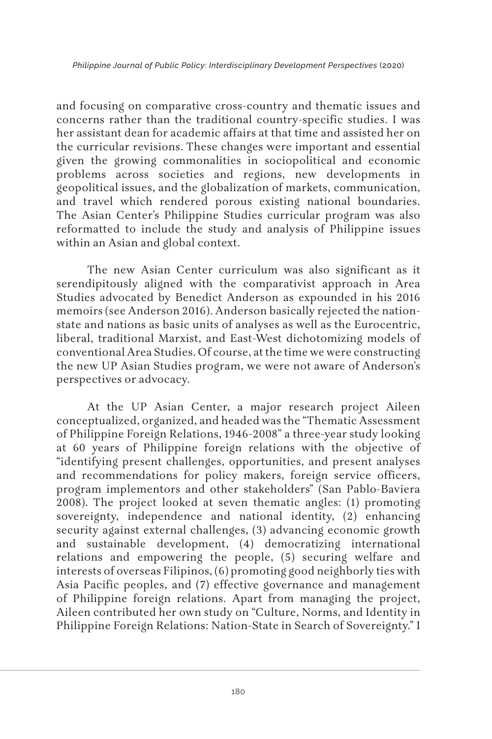and focusing on comparative cross-country and thematic issues and concerns rather than the traditional country-specific studies. I was her assistant dean for academic affairs at that time and assisted her on the curricular revisions. These changes were important and essential given the growing commonalities in sociopolitical and economic problems across societies and regions, new developments in geopolitical issues, and the globalization of markets, communication, and travel which rendered porous existing national boundaries. The Asian Center's Philippine Studies curricular program was also reformatted to include the study and analysis of Philippine issues within an Asian and global context.

The new Asian Center curriculum was also significant as it serendipitously aligned with the comparativist approach in Area Studies advocated by Benedict Anderson as expounded in his 2016 memoirs (see Anderson 2016). Anderson basically rejected the nationstate and nations as basic units of analyses as well as the Eurocentric, liberal, traditional Marxist, and East-West dichotomizing models of conventional Area Studies. Of course, at the time we were constructing the new UP Asian Studies program, we were not aware of Anderson's perspectives or advocacy.

At the UP Asian Center, a major research project Aileen conceptualized, organized, and headed was the "Thematic Assessment of Philippine Foreign Relations, 1946-2008" a three-year study looking at 60 years of Philippine foreign relations with the objective of "identifying present challenges, opportunities, and present analyses and recommendations for policy makers, foreign service officers, program implementors and other stakeholders" (San Pablo-Baviera 2008). The project looked at seven thematic angles: (1) promoting sovereignty, independence and national identity, (2) enhancing security against external challenges, (3) advancing economic growth and sustainable development, (4) democratizing international relations and empowering the people, (5) securing welfare and interests of overseas Filipinos, (6) promoting good neighborly ties with Asia Pacific peoples, and (7) effective governance and management of Philippine foreign relations. Apart from managing the project, Aileen contributed her own study on "Culture, Norms, and Identity in Philippine Foreign Relations: Nation-State in Search of Sovereignty." I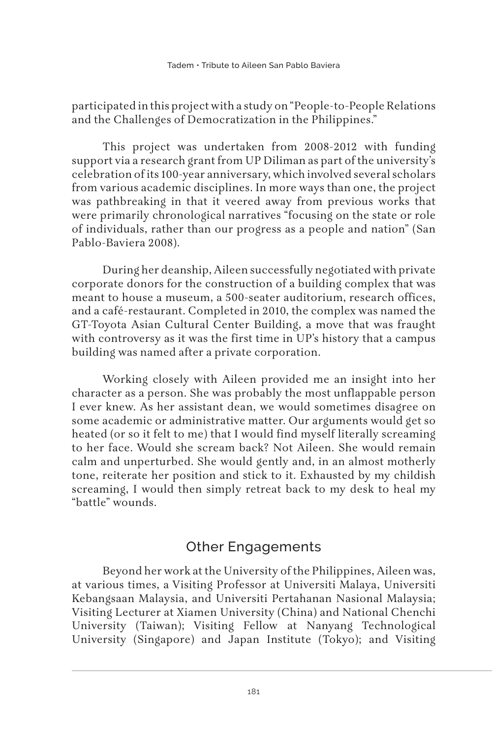participated in this project with a study on "People-to-People Relations and the Challenges of Democratization in the Philippines."

This project was undertaken from 2008-2012 with funding support via a research grant from UP Diliman as part of the university's celebration of its 100-year anniversary, which involved several scholars from various academic disciplines. In more ways than one, the project was pathbreaking in that it veered away from previous works that were primarily chronological narratives "focusing on the state or role of individuals, rather than our progress as a people and nation" (San Pablo-Baviera 2008).

During her deanship, Aileen successfully negotiated with private corporate donors for the construction of a building complex that was meant to house a museum, a 500-seater auditorium, research offices, and a café-restaurant. Completed in 2010, the complex was named the GT-Toyota Asian Cultural Center Building, a move that was fraught with controversy as it was the first time in UP's history that a campus building was named after a private corporation.

Working closely with Aileen provided me an insight into her character as a person. She was probably the most unflappable person I ever knew. As her assistant dean, we would sometimes disagree on some academic or administrative matter. Our arguments would get so heated (or so it felt to me) that I would find myself literally screaming to her face. Would she scream back? Not Aileen. She would remain calm and unperturbed. She would gently and, in an almost motherly tone, reiterate her position and stick to it. Exhausted by my childish screaming, I would then simply retreat back to my desk to heal my "battle" wounds.

## Other Engagements

Beyond her work at the University of the Philippines, Aileen was, at various times, a Visiting Professor at Universiti Malaya, Universiti Kebangsaan Malaysia, and Universiti Pertahanan Nasional Malaysia; Visiting Lecturer at Xiamen University (China) and National Chenchi University (Taiwan); Visiting Fellow at Nanyang Technological University (Singapore) and Japan Institute (Tokyo); and Visiting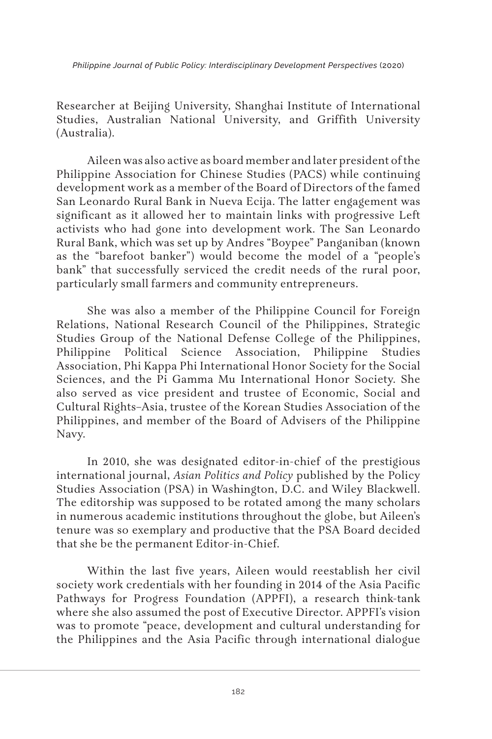Researcher at Beijing University, Shanghai Institute of International Studies, Australian National University, and Griffith University (Australia).

Aileen was also active as board member and later president of the Philippine Association for Chinese Studies (PACS) while continuing development work as a member of the Board of Directors of the famed San Leonardo Rural Bank in Nueva Ecija. The latter engagement was significant as it allowed her to maintain links with progressive Left activists who had gone into development work. The San Leonardo Rural Bank, which was set up by Andres "Boypee" Panganiban (known as the "barefoot banker") would become the model of a "people's bank" that successfully serviced the credit needs of the rural poor, particularly small farmers and community entrepreneurs.

She was also a member of the Philippine Council for Foreign Relations, National Research Council of the Philippines, Strategic Studies Group of the National Defense College of the Philippines, Philippine Political Science Association, Philippine Studies Association, Phi Kappa Phi International Honor Society for the Social Sciences, and the Pi Gamma Mu International Honor Society. She also served as vice president and trustee of Economic, Social and Cultural Rights–Asia, trustee of the Korean Studies Association of the Philippines, and member of the Board of Advisers of the Philippine Navy.

In 2010, she was designated editor-in-chief of the prestigious international journal, *Asian Politics and Policy* published by the Policy Studies Association (PSA) in Washington, D.C. and Wiley Blackwell. The editorship was supposed to be rotated among the many scholars in numerous academic institutions throughout the globe, but Aileen's tenure was so exemplary and productive that the PSA Board decided that she be the permanent Editor-in-Chief.

Within the last five years, Aileen would reestablish her civil society work credentials with her founding in 2014 of the Asia Pacific Pathways for Progress Foundation (APPFI), a research think-tank where she also assumed the post of Executive Director. APPFI's vision was to promote "peace, development and cultural understanding for the Philippines and the Asia Pacific through international dialogue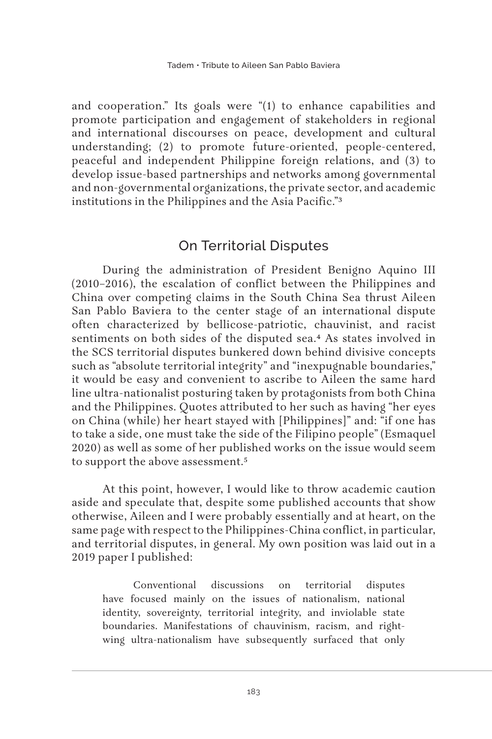and cooperation." Its goals were "(1) to enhance capabilities and promote participation and engagement of stakeholders in regional and international discourses on peace, development and cultural understanding; (2) to promote future-oriented, people-centered, peaceful and independent Philippine foreign relations, and (3) to develop issue-based partnerships and networks among governmental and non-governmental organizations, the private sector, and academic institutions in the Philippines and the Asia Pacific."3

# On Territorial Disputes

During the administration of President Benigno Aquino III (2010–2016), the escalation of conflict between the Philippines and China over competing claims in the South China Sea thrust Aileen San Pablo Baviera to the center stage of an international dispute often characterized by bellicose-patriotic, chauvinist, and racist sentiments on both sides of the disputed sea.4 As states involved in the SCS territorial disputes bunkered down behind divisive concepts such as "absolute territorial integrity" and "inexpugnable boundaries," it would be easy and convenient to ascribe to Aileen the same hard line ultra-nationalist posturing taken by protagonists from both China and the Philippines. Quotes attributed to her such as having "her eyes on China (while) her heart stayed with [Philippines]" and: "if one has to take a side, one must take the side of the Filipino people" (Esmaquel 2020) as well as some of her published works on the issue would seem to support the above assessment.<sup>5</sup>

At this point, however, I would like to throw academic caution aside and speculate that, despite some published accounts that show otherwise, Aileen and I were probably essentially and at heart, on the same page with respect to the Philippines-China conflict, in particular, and territorial disputes, in general. My own position was laid out in a 2019 paper I published:

Conventional discussions on territorial disputes have focused mainly on the issues of nationalism, national identity, sovereignty, territorial integrity, and inviolable state boundaries. Manifestations of chauvinism, racism, and rightwing ultra-nationalism have subsequently surfaced that only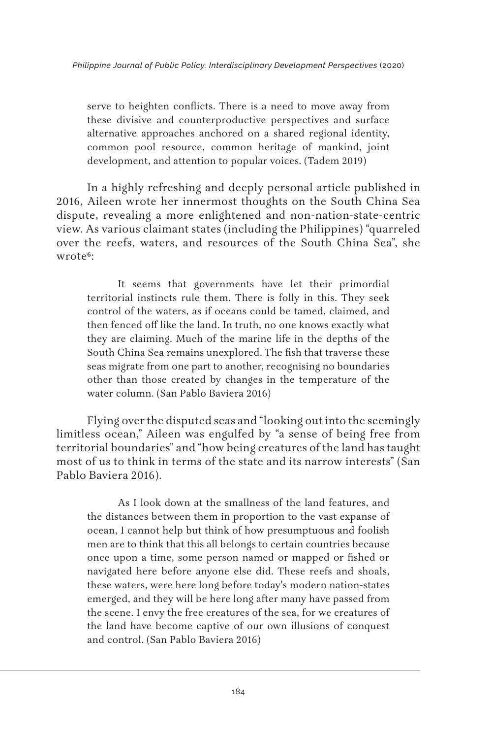serve to heighten conflicts. There is a need to move away from these divisive and counterproductive perspectives and surface alternative approaches anchored on a shared regional identity, common pool resource, common heritage of mankind, joint development, and attention to popular voices. (Tadem 2019)

In a highly refreshing and deeply personal article published in 2016, Aileen wrote her innermost thoughts on the South China Sea dispute, revealing a more enlightened and non-nation-state-centric view. As various claimant states (including the Philippines) "quarreled over the reefs, waters, and resources of the South China Sea", she wrote<sup>6</sup>:

It seems that governments have let their primordial territorial instincts rule them. There is folly in this. They seek control of the waters, as if oceans could be tamed, claimed, and then fenced off like the land. In truth, no one knows exactly what they are claiming. Much of the marine life in the depths of the South China Sea remains unexplored. The fish that traverse these seas migrate from one part to another, recognising no boundaries other than those created by changes in the temperature of the water column. (San Pablo Baviera 2016)

Flying over the disputed seas and "looking out into the seemingly limitless ocean," Aileen was engulfed by "a sense of being free from territorial boundaries" and "how being creatures of the land has taught most of us to think in terms of the state and its narrow interests" (San Pablo Baviera 2016).

As I look down at the smallness of the land features, and the distances between them in proportion to the vast expanse of ocean, I cannot help but think of how presumptuous and foolish men are to think that this all belongs to certain countries because once upon a time, some person named or mapped or fished or navigated here before anyone else did. These reefs and shoals, these waters, were here long before today's modern nation-states emerged, and they will be here long after many have passed from the scene. I envy the free creatures of the sea, for we creatures of the land have become captive of our own illusions of conquest and control. (San Pablo Baviera 2016)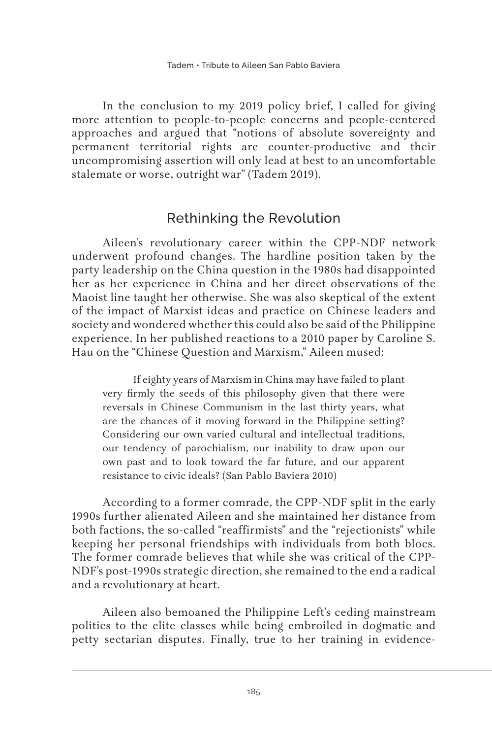In the conclusion to my 2019 policy brief, I called for giving more attention to people-to-people concerns and people-centered approaches and argued that "notions of absolute sovereignty and permanent territorial rights are counter-productive and their uncompromising assertion will only lead at best to an uncomfortable stalemate or worse, outright war" (Tadem 2019).

# Rethinking the Revolution

Aileen's revolutionary career within the CPP-NDF network underwent profound changes. The hardline position taken by the party leadership on the China question in the 1980s had disappointed her as her experience in China and her direct observations of the Maoist line taught her otherwise. She was also skeptical of the extent of the impact of Marxist ideas and practice on Chinese leaders and society and wondered whether this could also be said of the Philippine experience. In her published reactions to a 2010 paper by Caroline S. Hau on the "Chinese Question and Marxism," Aileen mused:

If eighty years of Marxism in China may have failed to plant very firmly the seeds of this philosophy given that there were reversals in Chinese Communism in the last thirty years, what are the chances of it moving forward in the Philippine setting? Considering our own varied cultural and intellectual traditions, our tendency of parochialism, our inability to draw upon our own past and to look toward the far future, and our apparent resistance to civic ideals? (San Pablo Baviera 2010)

According to a former comrade, the CPP-NDF split in the early 1990s further alienated Aileen and she maintained her distance from both factions, the so-called "reaffirmists" and the "rejectionists" while keeping her personal friendships with individuals from both blocs. The former comrade believes that while she was critical of the CPP-NDF's post-1990s strategic direction, she remained to the end a radical and a revolutionary at heart.

Aileen also bemoaned the Philippine Left's ceding mainstream politics to the elite classes while being embroiled in dogmatic and petty sectarian disputes. Finally, true to her training in evidence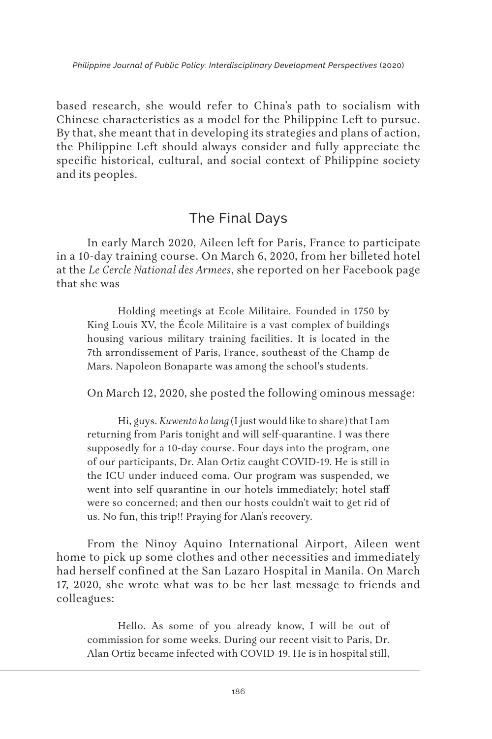based research, she would refer to China's path to socialism with Chinese characteristics as a model for the Philippine Left to pursue. By that, she meant that in developing its strategies and plans of action, the Philippine Left should always consider and fully appreciate the specific historical, cultural, and social context of Philippine society and its peoples.

# The Final Days

In early March 2020, Aileen left for Paris, France to participate in a 10-day training course. On March 6, 2020, from her billeted hotel at the *Le Cercle National des Armees*, she reported on her Facebook page that she was

Holding meetings at Ecole Militaire. Founded in 1750 by King Louis XV, the École Militaire is a vast complex of buildings housing various military training facilities. It is located in the 7th arrondissement of Paris, France, southeast of the Champ de Mars. Napoleon Bonaparte was among the school's students.

On March 12, 2020, she posted the following ominous message:

Hi, guys. *Kuwento ko lang* (I just would like to share) that I am returning from Paris tonight and will self-quarantine. I was there supposedly for a 10-day course. Four days into the program, one of our participants, Dr. Alan Ortiz caught COVID-19. He is still in the ICU under induced coma. Our program was suspended, we went into self-quarantine in our hotels immediately; hotel staff were so concerned; and then our hosts couldn't wait to get rid of us. No fun, this trip!! Praying for Alan's recovery.

From the Ninoy Aquino International Airport, Aileen went home to pick up some clothes and other necessities and immediately had herself confined at the San Lazaro Hospital in Manila. On March 17, 2020, she wrote what was to be her last message to friends and colleagues:

Hello. As some of you already know, I will be out of commission for some weeks. During our recent visit to Paris, Dr. Alan Ortiz became infected with COVID-19. He is in hospital still,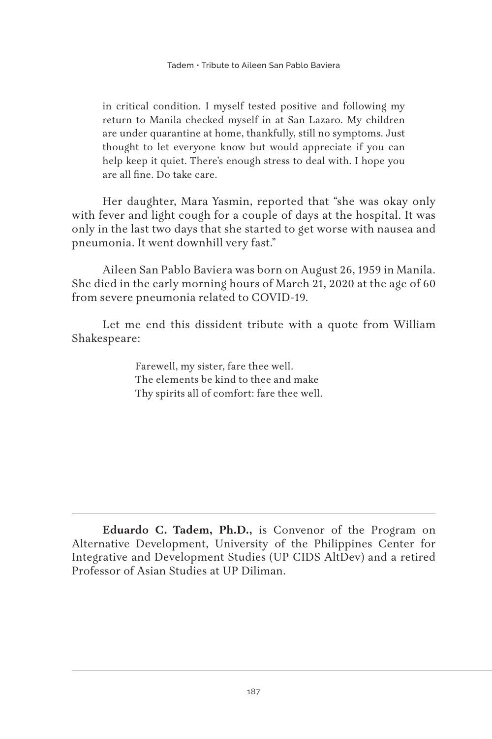in critical condition. I myself tested positive and following my return to Manila checked myself in at San Lazaro. My children are under quarantine at home, thankfully, still no symptoms. Just thought to let everyone know but would appreciate if you can help keep it quiet. There's enough stress to deal with. I hope you are all fine. Do take care.

Her daughter, Mara Yasmin, reported that "she was okay only with fever and light cough for a couple of days at the hospital. It was only in the last two days that she started to get worse with nausea and pneumonia. It went downhill very fast."

Aileen San Pablo Baviera was born on August 26, 1959 in Manila. She died in the early morning hours of March 21, 2020 at the age of 60 from severe pneumonia related to COVID-19.

Let me end this dissident tribute with a quote from William Shakespeare:

> Farewell, my sister, fare thee well. The elements be kind to thee and make Thy spirits all of comfort: fare thee well.

**Eduardo C. Tadem, Ph.D.,** is Convenor of the Program on Alternative Development, University of the Philippines Center for Integrative and Development Studies (UP CIDS AltDev) and a retired Professor of Asian Studies at UP Diliman.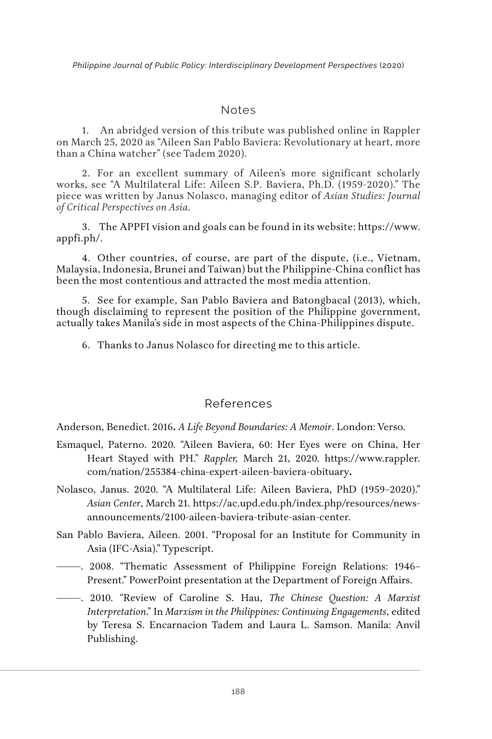#### Notes

1. An abridged version of this tribute was published online in Rappler on March 25, 2020 as "Aileen San Pablo Baviera: Revolutionary at heart, more than a China watcher" (see Tadem 2020).

2. For an excellent summary of Aileen's more significant scholarly works, see "A Multilateral Life: Aileen S.P. Baviera, Ph.D. (1959-2020)." The piece was written by Janus Nolasco, managing editor of *Asian Studies: Journal of Critical Perspectives on Asia.*

3. The APPFI vision and goals can be found in its website: https://www. appfi.ph/.

4. Other countries, of course, are part of the dispute, (i.e., Vietnam, Malaysia, Indonesia, Brunei and Taiwan) but the Philippine-China conflict has been the most contentious and attracted the most media attention.

5. See for example, San Pablo Baviera and Batongbacal (2013), which, though disclaiming to represent the position of the Philippine government, actually takes Manila's side in most aspects of the China-Philippines dispute.

6. Thanks to Janus Nolasco for directing me to this article.

#### References

Anderson, Benedict. 2016**.** *A Life Beyond Boundaries: A Memoir*. London: Verso.

- Esmaquel, Paterno. 2020. "Aileen Baviera, 60: Her Eyes were on China, Her Heart Stayed with PH." *Rappler,* March 21, 2020. https://www.rappler. com/nation/255384-china-expert-aileen-baviera-obituary**.**
- Nolasco, Janus. 2020. "A Multilateral Life: Aileen Baviera, PhD (1959–2020)." *Asian Center*, March 21. https://ac.upd.edu.ph/index.php/resources/newsannouncements/2100-aileen-baviera-tribute-asian-center.
- San Pablo Baviera, Aileen. 2001. "Proposal for an Institute for Community in Asia (IFC-Asia)." Typescript.
- ———. 2008. "Thematic Assessment of Philippine Foreign Relations: 1946– Present." PowerPoint presentation at the Department of Foreign Affairs.
- ———. 2010. "Review of Caroline S. Hau, *The Chinese Question: A Marxist Interpretation*." In *Marxism in the Philippines: Continuing Engagements*, edited by Teresa S. Encarnacion Tadem and Laura L. Samson. Manila: Anvil Publishing.